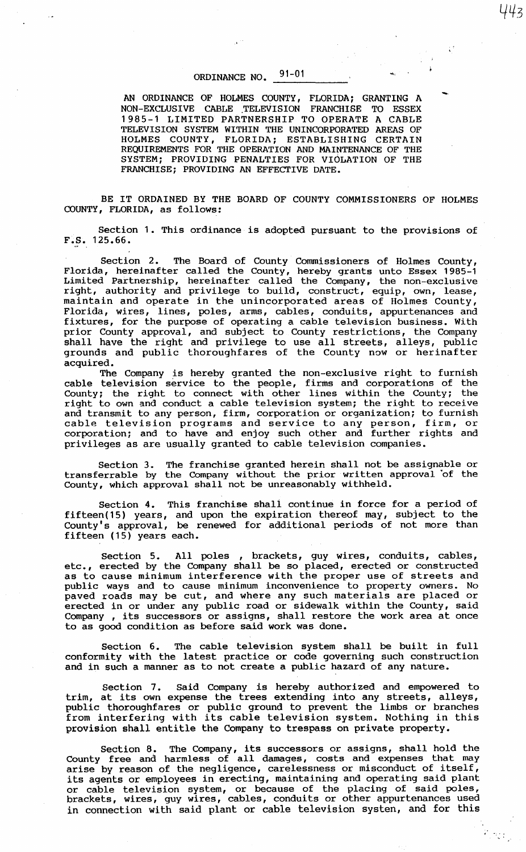## ORDINANCE NO. 91-01

AN ORDINANCE OF HOLMES COUNTY, FLORIDA; GRANTING A NON-EXCLUSIVE CABLE TELEVISION FRANCHISE TO ESSEX 1985-1 LIMITED PARTNERSHIP TO OPERATE A CABLE TELEVISION SYSTEM WITHIN THE UNINCORPORATED AREAS OF HOLMES COUNTY, FLORIDA; ESTABLISHING CERTAIN REQUIREMENTS FOR THE OPERATION AND MAINTENANCE OF THE SYSTEM; PROVIDING PENALTIES FOR VIOLATION OF THE FRANCHISE; PROVIDING AN EFFECTIVE DATE.

BE IT ORDAINED BY THE BOARD OF COUNTY COMMISSIONERS OF HOLMES COUNTY, FLORIDA, as follows:

Section 1. This ordinance is adopted pursuant to the provisions of F.S. 125.66.

Section 2. The Board of County Commissioners of Holmes County, Florida, hereinafter called the County, hereby grants unto Essex 1985-1 Limited Partnership, hereinafter called the Company, the non-exclusive right, authority and privilege to build, construct, equip, own, lease, maintain and operate in the unincorporated areas of Holmes County, Florida, wires, lines, poles, arms, cables, conduits, appurtenances and fixtures, for the purpose of operating a cable television business. With prior County approval, and subject to County restrictions, the Company shall have the right and privilege to use all streets, alleys, public grounds and public thoroughfares of the County now or herinafter acquired.

The Company is hereby granted the non-exclusive right to furnish cable television service to the people, firms and corporations of the County; the right to connect with other lines within the County; the right to own and conduct a cable television system; the right to receive and transmit to any person, firm, corporation or organization; to furnish cable television programs and service to any person, firm, or corporation; and to have and enjoy such other and further rights and privileges as are usually granted to cable television companies.

Section 3. The franchise granted herein shall not be assignable or transferrable by the Company without the prior written approval 'of the County, which approval shall not be unreasonably withheld.

Section 4. This franchise shall continue in force for a period of fifteen(15) years, and upon the expiration thereof may, subject to the County's approval, be renewed for additional periods of not more than fifteen (15) years each.

Section 5. All poles , brackets, guy wires, conduits, cables, etc., erected by the Company shall be so placed, erected or constructed as to cause minimum interference with the proper use of streets and public ways and to cause minimum inconvenience to property owners. No paved roads may be cut, and where any such materials are placed or erected in or under any public road or sidewalk within the County, said Company , its successors or assigns, shall restore the work area at once to as good condition as before said work was done.

Section 6. The cable television system shall be built in full conformity with the latest practice or code governing such construction and in such a manner as to not create a public hazard of any nature.

Section 7. Said Company is hereby authorized and empowered to trim, at its own expense the trees extending into any streets, alleys, public thoroughfares or public ground to prevent the limbs or branches public choroughtates of public ground to prevent the finds of branches<br>from interfering with its cable television system. Nothing in this provision shall entitle the Company to trespass on private property.

Section 8. The Company, its successors or assigns, shall hold the County free and harmless of all damages, costs and expenses that may arise by reason of the negligence, carelessness or misconduct of itself, its agents or employees in erecting, maintaining and operating said plant or cable television system, or because of the placing of said poles, brackets, wires, guy wires, cables, conduits or other appurtenances used in connection with said plant or cable television systen, and for this

 $\epsilon$  ,  $\sigma_{\rm eff}$ 

--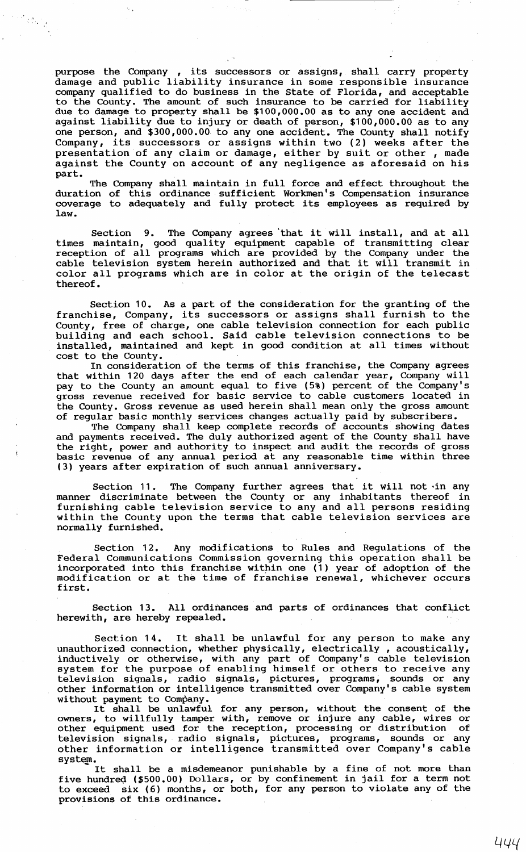purpose the Company , its successors or assigns, shall carry property damage and public liability insurance in some responsible insurance company qualified to do business in the State of Florida, and acceptable to the County. The amount of such insurance to be carried for liability due to damage to property shall be \$100,000.00 as to any one accident and against liability due to injury or death of person, \$100,000.00 as to any one person, and \$300,000.00 to any one accident. The County shall notify Company, its successors or assigns within two (2) weeks after the presentation of any claim or damage, either by suit or other , made against the County on account of any negligence as aforesaid on his part.

 $\begin{aligned} \mathcal{L}^{(1)}_{\mathcal{A}} & = \mathcal{L}^{(1)}_{\mathcal{A}} \mathcal{L}^{(1)}_{\mathcal{A}} \\ & \times \mathcal{L}^{(1)}_{\mathcal{A}} \mathcal{L}^{(1)}_{\mathcal{A}} \end{aligned}$ 

The Company shall maintain in full force and effect throughout the duration of this ordinance sufficient Workmen's Compensation insurance coverage to adequately and fully protect its employees as required by law.

Section 9. The Company agrees 'that it will install, and at all times maintain, good quality equipment capable of transmitting clear reception of all programs which are provided by the Company under the cable television system herein authorized and that it will transmit in color all programs which are in color at the origin of the telecast thereof.

Section 10. As a part of the consideration for the granting of the franchise, Company, its successors or assigns shall furnish to the County, free of charge, one cable television connection for each public building and each school. Said cable television connections to be installed, maintained and kept in good condition at all times without cost to the County.

In consideration of the terms of this franchise, the Company agrees that within 120 days after the end of each calendar year, Company will pay to the County an amount equal to five (5%) percent of the Company's gross revenue received for basic service to cable customers located in the County. Gross revenue as used herein shall mean only the gross amount of regular basic monthly services changes actually paid by subscribers.

The Company shall keep complete records of accounts showing dates and payments received. The duly authorized agent of the County shall have the right, power and authority to inspect and audit the records of gross basic revenue of any annual period at any reasonable time within three (3) years after expiration of such annual anniversary.

Section 11. The Company further agrees that it will not ·in any manner discriminate between the County or any inhabitants thereof in furnishing cable television service to any and all persons residing within the County upon the terms that cable television services are normally furnished.

Section 12. Any modifications to Rules and Regulations of the Federal Communications Commission governing this operation shall be incorporated into this franchise within one (1) year of adoption of the modification or at the time of franchise renewal, whichever occurs first.

Section 13. All ordinances and parts of ordinances that conflict herewith, are hereby repealed.

Section 14. It shall be unlawful for any person to make any unauthorized connection, whether physically, electrically, acoustically, inductively or otherwise, with any part of Company's cable television system for the purpose of enabling himself or others to receive any television signals, radio signals, pictures, programs, sounds or any other information or intelligence transmitted over Company's cable system without payment to Company.

La payment to company.<br>It shall be unlawful for any person, without the consent of the owners, to willfully tamper with, remove or injure any cable, wires or other equipment used for the reception, processing or distribution of television signals, radio signals, pictures, programs, sounds or any other information or intelligence transmitted over Company's cable

system.<br>It shall be a misdemeanor punishable by a fine of not more than five hundred (\$500.00) Dollars, or by confinement in jail for a term not to exceed six (6) months, or both, for any person to violate any of the provisions of this ordinance.